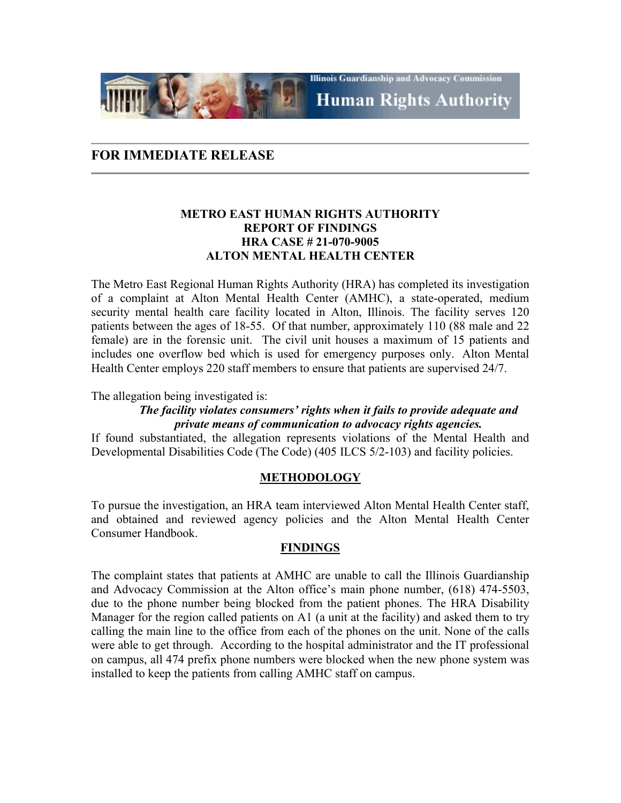**Illinois Guardianship and Advocacy Commission Human Rights Authority** 

# **FOR IMMEDIATE RELEASE**

## **METRO EAST HUMAN RIGHTS AUTHORITY REPORT OF FINDINGS HRA CASE # 21-070-9005 ALTON MENTAL HEALTH CENTER**

The Metro East Regional Human Rights Authority (HRA) has completed its investigation of a complaint at Alton Mental Health Center (AMHC), a state-operated, medium security mental health care facility located in Alton, Illinois. The facility serves 120 patients between the ages of 18-55. Of that number, approximately 110 (88 male and 22 female) are in the forensic unit. The civil unit houses a maximum of 15 patients and includes one overflow bed which is used for emergency purposes only. Alton Mental Health Center employs 220 staff members to ensure that patients are supervised 24/7.

The allegation being investigated is:

### *The facility violates consumers' rights when it fails to provide adequate and private means of communication to advocacy rights agencies.*

If found substantiated, the allegation represents violations of the Mental Health and Developmental Disabilities Code (The Code) (405 ILCS 5/2-103) and facility policies.

### **METHODOLOGY**

To pursue the investigation, an HRA team interviewed Alton Mental Health Center staff, and obtained and reviewed agency policies and the Alton Mental Health Center Consumer Handbook.

### **FINDINGS**

The complaint states that patients at AMHC are unable to call the Illinois Guardianship and Advocacy Commission at the Alton office's main phone number, (618) 474-5503, due to the phone number being blocked from the patient phones. The HRA Disability Manager for the region called patients on A1 (a unit at the facility) and asked them to try calling the main line to the office from each of the phones on the unit. None of the calls were able to get through. According to the hospital administrator and the IT professional on campus, all 474 prefix phone numbers were blocked when the new phone system was installed to keep the patients from calling AMHC staff on campus.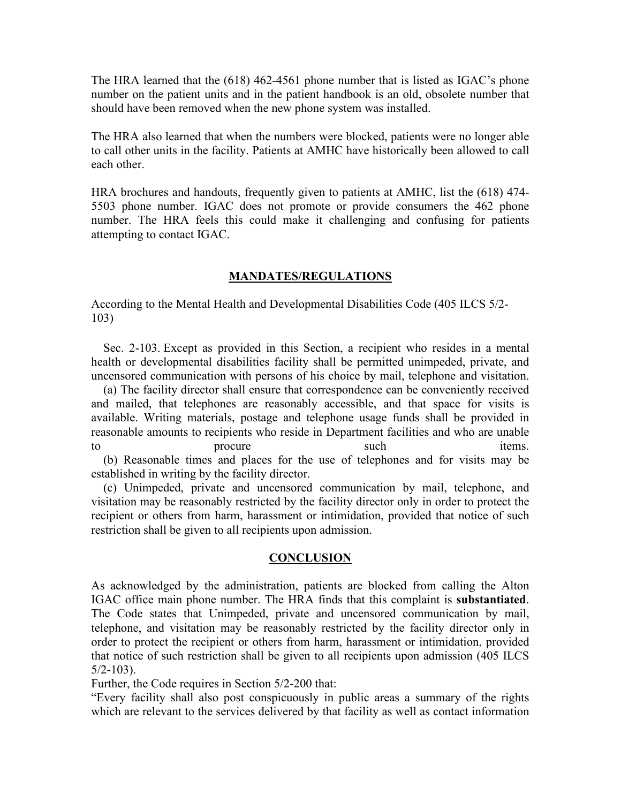The HRA learned that the (618) 462-4561 phone number that is listed as IGAC's phone number on the patient units and in the patient handbook is an old, obsolete number that should have been removed when the new phone system was installed.

The HRA also learned that when the numbers were blocked, patients were no longer able to call other units in the facility. Patients at AMHC have historically been allowed to call each other.

HRA brochures and handouts, frequently given to patients at AMHC, list the (618) 474- 5503 phone number. IGAC does not promote or provide consumers the 462 phone number. The HRA feels this could make it challenging and confusing for patients attempting to contact IGAC.

#### **MANDATES/REGULATIONS**

According to the Mental Health and Developmental Disabilities Code (405 ILCS 5/2- 103)

 Sec. 2-103. Except as provided in this Section, a recipient who resides in a mental health or developmental disabilities facility shall be permitted unimpeded, private, and uncensored communication with persons of his choice by mail, telephone and visitation.

 (a) The facility director shall ensure that correspondence can be conveniently received and mailed, that telephones are reasonably accessible, and that space for visits is available. Writing materials, postage and telephone usage funds shall be provided in reasonable amounts to recipients who reside in Department facilities and who are unable to procure to such items. (b) Reasonable times and places for the use of telephones and for visits may be

established in writing by the facility director.

 (c) Unimpeded, private and uncensored communication by mail, telephone, and visitation may be reasonably restricted by the facility director only in order to protect the recipient or others from harm, harassment or intimidation, provided that notice of such restriction shall be given to all recipients upon admission.

#### **CONCLUSION**

As acknowledged by the administration, patients are blocked from calling the Alton IGAC office main phone number. The HRA finds that this complaint is **substantiated**. The Code states that Unimpeded, private and uncensored communication by mail, telephone, and visitation may be reasonably restricted by the facility director only in order to protect the recipient or others from harm, harassment or intimidation, provided that notice of such restriction shall be given to all recipients upon admission (405 ILCS 5/2-103).

Further, the Code requires in Section 5/2-200 that:

"Every facility shall also post conspicuously in public areas a summary of the rights which are relevant to the services delivered by that facility as well as contact information